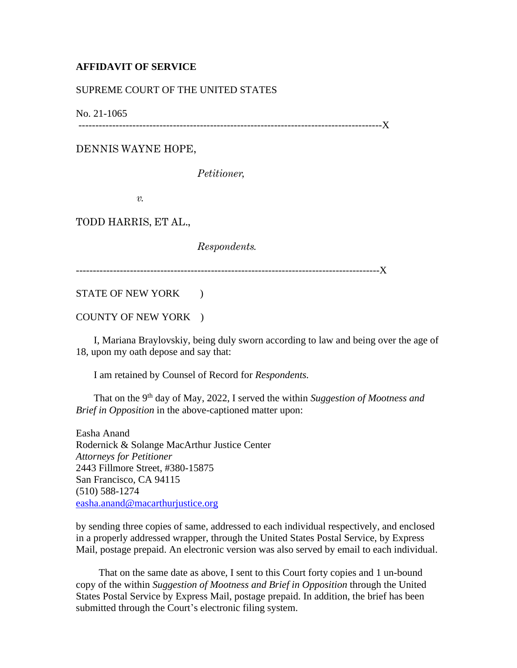## **AFFIDAVIT OF SERVICE**

## SUPREME COURT OF THE UNITED STATES

No. 21-1065

------------------------------------------------------------------------------------------X

DENNIS WAYNE HOPE,

*Petitioner,*

*v.*

TODD HARRIS, ET AL.,

*Respondents.*

------------------------------------------------------------------------------------------X

STATE OF NEW YORK  $\qquad$  )

COUNTY OF NEW YORK )

 I, Mariana Braylovskiy, being duly sworn according to law and being over the age of 18, upon my oath depose and say that:

I am retained by Counsel of Record for *Respondents.*

That on the 9<sup>th</sup> day of May, 2022, I served the within *Suggestion of Mootness and Brief in Opposition* in the above-captioned matter upon:

Easha Anand Rodernick & Solange MacArthur Justice Center *Attorneys for Petitioner* 2443 Fillmore Street, #380-15875 San Francisco, CA 94115 (510) 588-1274 [easha.anand@macarthurjustice.org](mailto:easha.anand@macarthurjustice.org)

by sending three copies of same, addressed to each individual respectively, and enclosed in a properly addressed wrapper, through the United States Postal Service, by Express Mail, postage prepaid. An electronic version was also served by email to each individual.

 That on the same date as above, I sent to this Court forty copies and 1 un-bound copy of the within *Suggestion of Mootness and Brief in Opposition* through the United States Postal Service by Express Mail, postage prepaid. In addition, the brief has been submitted through the Court's electronic filing system.